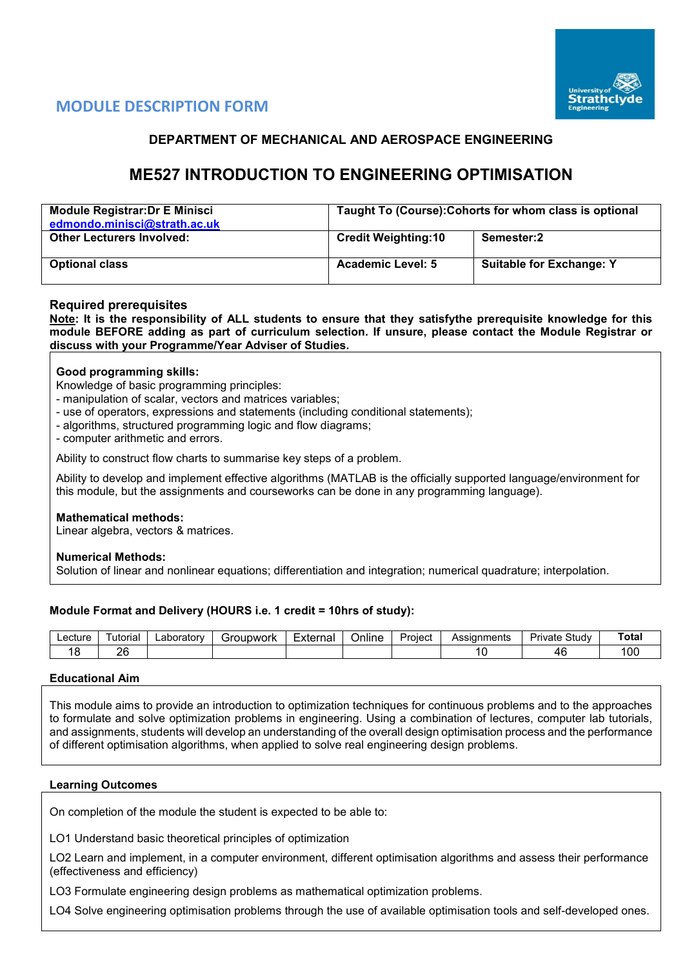

# **MODULE DESCRIPTION FORM**

# **DEPARTMENT OF MECHANICAL AND AEROSPACE ENGINEERING**

# **ME527 INTRODUCTION TO ENGINEERING OPTIMISATION**

| Module Registrar: Dr E Minisci<br>edmondo.minisci@strath.ac.uk | Taught To (Course): Cohorts for whom class is optional |                                 |  |  |  |  |
|----------------------------------------------------------------|--------------------------------------------------------|---------------------------------|--|--|--|--|
| <b>Other Lecturers Involved:</b>                               | <b>Credit Weighting:10</b>                             | Semester:2                      |  |  |  |  |
| <b>Optional class</b>                                          | <b>Academic Level: 5</b>                               | <b>Suitable for Exchange: Y</b> |  |  |  |  |

# **Required prerequisites**

**Note: It is the responsibility of ALL students to ensure that they satisfythe prerequisite knowledge for this module BEFORE adding as part of curriculum selection. If unsure, please contact the Module Registrar or discuss with your Programme/Year Adviser of Studies.**

## **Good programming skills:**

Knowledge of basic programming principles:

- manipulation of scalar, vectors and matrices variables;

- use of operators, expressions and statements (including conditional statements);
- algorithms, structured programming logic and flow diagrams;

- computer arithmetic and errors.

Ability to construct flow charts to summarise key steps of a problem.

Ability to develop and implement effective algorithms (MATLAB is the officially supported language/environment for this module, but the assignments and courseworks can be done in any programming language).

#### **Mathematical methods:**

Linear algebra, vectors & matrices.

#### **Numerical Methods:**

Solution of linear and nonlinear equations; differentiation and integration; numerical quadrature; interpolation.

# **Module Format and Delivery (HOURS i.e. 1 credit = 10hrs of study):**

| _ecture | utorial | _aboratorv | irounwork<br>- 11 | -<br>External | <b>Jnline</b> | Project | Assianments<br>w | -<br>-<br>3tudv<br>a Jar<br>$-1$<br>ivaie | ot. |
|---------|---------|------------|-------------------|---------------|---------------|---------|------------------|-------------------------------------------|-----|
|         | ገር<br>- |            |                   |               |               |         |                  |                                           | 100 |

#### **Educational Aim**

This module aims to provide an introduction to optimization techniques for continuous problems and to the approaches to formulate and solve optimization problems in engineering. Using a combination of lectures, computer lab tutorials, and assignments, students will develop an understanding of the overall design optimisation process and the performance of different optimisation algorithms, when applied to solve real engineering design problems.

# **Learning Outcomes**

On completion of the module the student is expected to be able to:

LO1 Understand basic theoretical principles of optimization

LO2 Learn and implement, in a computer environment, different optimisation algorithms and assess their performance (effectiveness and efficiency)

LO3 Formulate engineering design problems as mathematical optimization problems.

LO4 Solve engineering optimisation problems through the use of available optimisation tools and self-developed ones.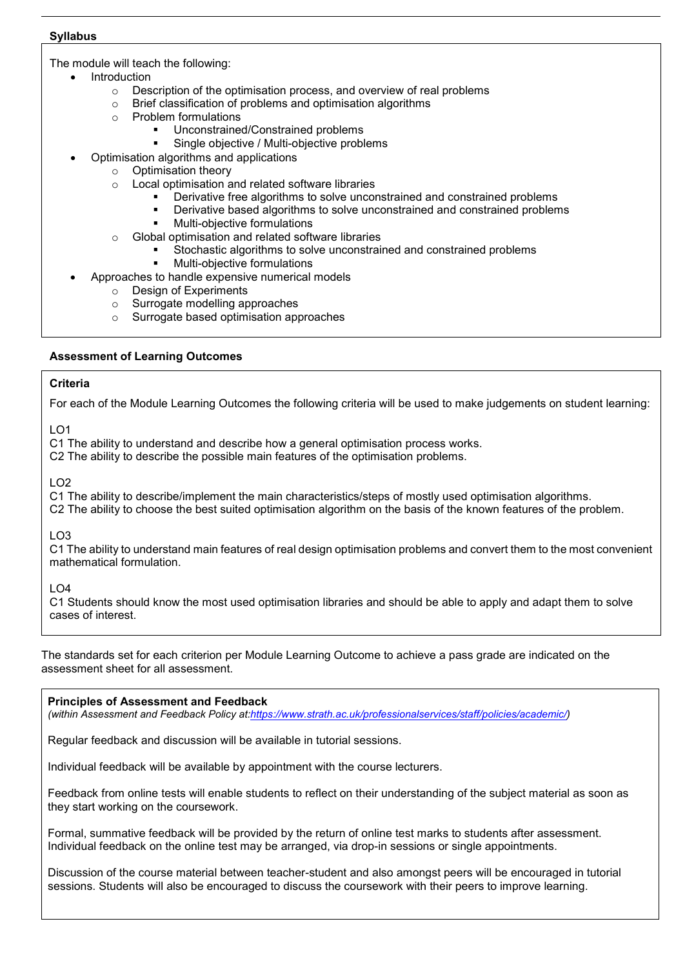## **Syllabus**

The module will teach the following:

- **Introduction** 
	- o Description of the optimisation process, and overview of real problems
	- o Brief classification of problems and optimisation algorithms
	- o Problem formulations
		- Unconstrained/Constrained problems
		- Single objective / Multi-objective problems
	- Optimisation algorithms and applications
		- $\circ$  Optimisation theory<br> $\circ$  Local optimisation a
			- Local optimisation and related software libraries
				- Derivative free algorithms to solve unconstrained and constrained problems
				- Derivative based algorithms to solve unconstrained and constrained problems
				- Multi-objective formulations
		- o Global optimisation and related software libraries
			- Stochastic algorithms to solve unconstrained and constrained problems
			- Multi-objective formulations
	- Approaches to handle expensive numerical models
		- o Design of Experiments
		- o Surrogate modelling approaches
		- o Surrogate based optimisation approaches

# **Assessment of Learning Outcomes**

## **Criteria**

For each of the Module Learning Outcomes the following criteria will be used to make judgements on student learning:

 $LO1$ 

C1 The ability to understand and describe how a general optimisation process works.

C2 The ability to describe the possible main features of the optimisation problems.

 $LO2$ 

C1 The ability to describe/implement the main characteristics/steps of mostly used optimisation algorithms.

C2 The ability to choose the best suited optimisation algorithm on the basis of the known features of the problem.

LO3

C1 The ability to understand main features of real design optimisation problems and convert them to the most convenient mathematical formulation.

LO4

C1 Students should know the most used optimisation libraries and should be able to apply and adapt them to solve cases of interest.

The standards set for each criterion per Module Learning Outcome to achieve a pass grade are indicated on the assessment sheet for all assessment.

#### **Principles of Assessment and Feedback**

*(within Assessment and Feedback Policy a[t:https://www.strath.ac.uk/professionalservices/staff/policies/academic/\)](https://www.strath.ac.uk/professionalservices/staff/policies/academic/)*

Regular feedback and discussion will be available in tutorial sessions.

Individual feedback will be available by appointment with the course lecturers.

Feedback from online tests will enable students to reflect on their understanding of the subject material as soon as they start working on the coursework.

Formal, summative feedback will be provided by the return of online test marks to students after assessment. Individual feedback on the online test may be arranged, via drop-in sessions or single appointments.

Discussion of the course material between teacher-student and also amongst peers will be encouraged in tutorial sessions. Students will also be encouraged to discuss the coursework with their peers to improve learning.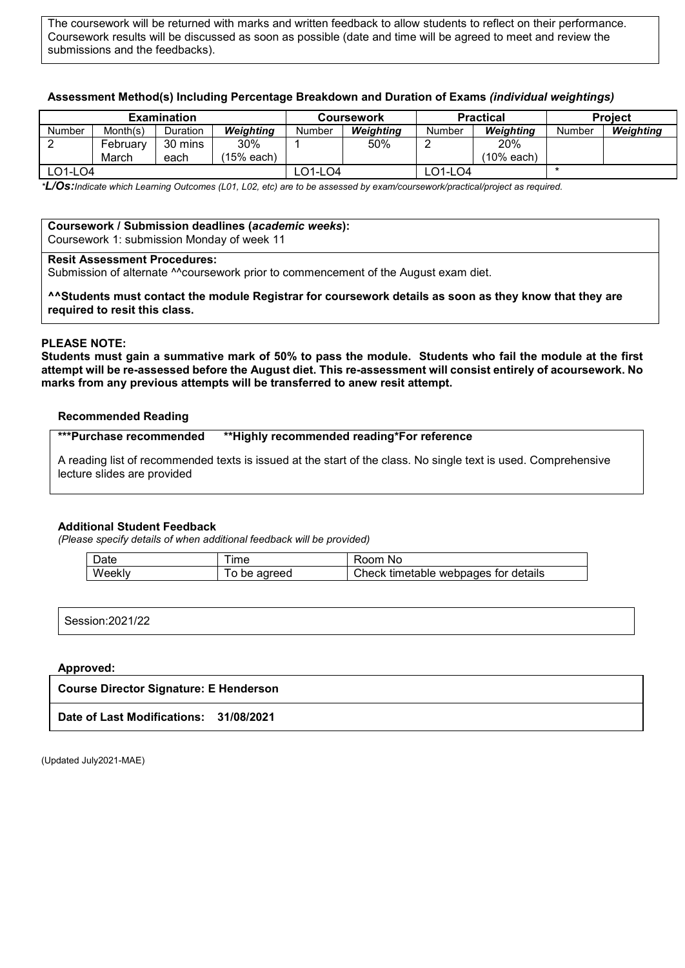The coursework will be returned with marks and written feedback to allow students to reflect on their performance. Coursework results will be discussed as soon as possible (date and time will be agreed to meet and review the submissions and the feedbacks).

# **Assessment Method(s) Including Percentage Breakdown and Duration of Exams** *(individual weightings)*

| <b>Examination</b> |          |          |            |         | <b>Coursework</b> |         | <b>Practical</b> | <b>Project</b> |           |  |
|--------------------|----------|----------|------------|---------|-------------------|---------|------------------|----------------|-----------|--|
| Number             | Month(s) | Duration | Weiahtina  | Number  | Weiahtina         | Number  | Weiahtina        | Number         | Weighting |  |
|                    | Februarv | 30 mins  | 30%        |         | 50%               |         | 20%              |                |           |  |
|                    | March    | each     | (15% each) |         |                   |         | (10% each)       |                |           |  |
| ∟O1-LO4            |          |          |            | .O1-LO4 |                   | -01-L04 |                  |                |           |  |

*\*L/Os:Indicate which Learning Outcomes (L01, L02, etc) are to be assessed by exam/coursework/practical/project as required.*

#### **Coursework / Submission deadlines (***academic weeks***):** Coursework 1: submission Monday of week 11

#### **Resit Assessment Procedures:**

Submission of alternate ^^coursework prior to commencement of the August exam diet.

**^^Students must contact the module Registrar for coursework details as soon as they know that they are required to resit this class.**

## **PLEASE NOTE:**

**Students must gain a summative mark of 50% to pass the module. Students who fail the module at the first attempt will be re-assessed before the August diet. This re-assessment will consist entirely of acoursework. No marks from any previous attempts will be transferred to anew resit attempt.**

#### **Recommended Reading**

| <b>***Purchase recommended</b> | **Highly recommended reading*For reference* |
|--------------------------------|---------------------------------------------|
|                                |                                             |

A reading list of recommended texts is issued at the start of the class. No single text is used. Comprehensive lecture slides are provided

#### **Additional Student Feedback**

*(Please specify details of when additional feedback will be provided)*

| Jate            | --<br>ıme     | Room<br>N0                                   |
|-----------------|---------------|----------------------------------------------|
| Weekly<br>. I V | adreed<br>pe. | Check<br>webpages for details »<br>timetable |

| Session: 2021/22 |
|------------------|
|------------------|

#### **Approved:**

| <b>Course Director Signature: E Henderson</b> |  |  |  |  |  |  |  |
|-----------------------------------------------|--|--|--|--|--|--|--|
| Date of Last Modifications: 31/08/2021        |  |  |  |  |  |  |  |

(Updated July2021-MAE)